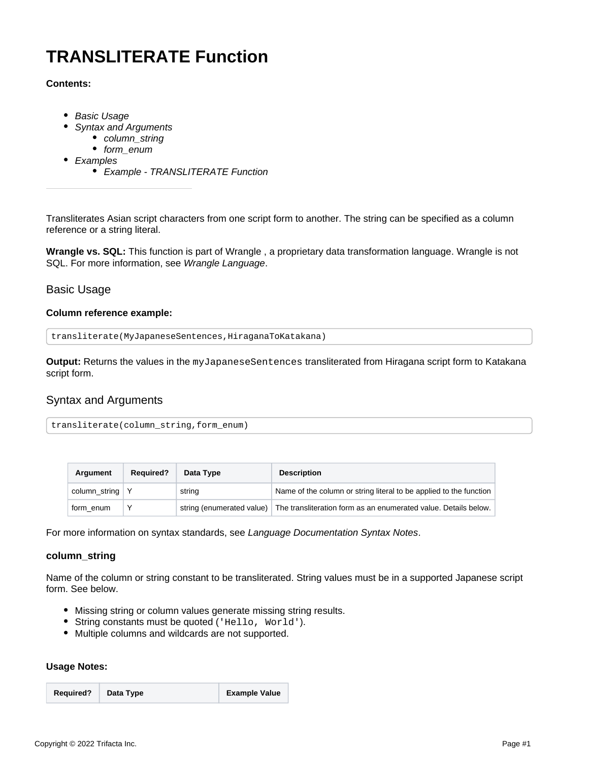# **TRANSLITERATE Function**

### **Contents:**

- [Basic Usage](#page-0-0)
- [Syntax and Arguments](#page-0-1)
	- [column\\_string](#page-0-2)
	- [form\\_enum](#page-1-0)
- [Examples](#page-1-1)
	- [Example TRANSLITERATE Function](#page-1-2)

Transliterates Asian script characters from one script form to another. The string can be specified as a column reference or a string literal.

**Wrangle vs. SQL:** This function is part of Wrangle , a proprietary data transformation language. Wrangle is not SQL. For more information, see [Wrangle Language](https://docs.trifacta.com/display/AWS/Wrangle+Language).

# <span id="page-0-0"></span>Basic Usage

#### **Column reference example:**

```
transliterate(MyJapaneseSentences,HiraganaToKatakana)
```
**Output:** Returns the values in the myJapaneseSentences transliterated from Hiragana script form to Katakana script form.

# <span id="page-0-1"></span>Syntax and Arguments

|--|

| Argument      | <b>Required?</b> | Data Type                 | <b>Description</b>                                                 |
|---------------|------------------|---------------------------|--------------------------------------------------------------------|
| column_string |                  | string                    | Name of the column or string literal to be applied to the function |
| form enum     |                  | string (enumerated value) | The transliteration form as an enumerated value. Details below.    |

For more information on syntax standards, see [Language Documentation Syntax Notes](https://docs.trifacta.com/display/AWS/Language+Documentation+Syntax+Notes).

#### <span id="page-0-2"></span>**column\_string**

Name of the column or string constant to be transliterated. String values must be in a supported Japanese script form. See below.

- Missing string or column values generate missing string results.
- String constants must be quoted ('Hello, World').
- Multiple columns and wildcards are not supported.

## **Usage Notes:**

| <b>Required?</b> | Data Type | <b>Example Value</b> |  |
|------------------|-----------|----------------------|--|
|                  |           |                      |  |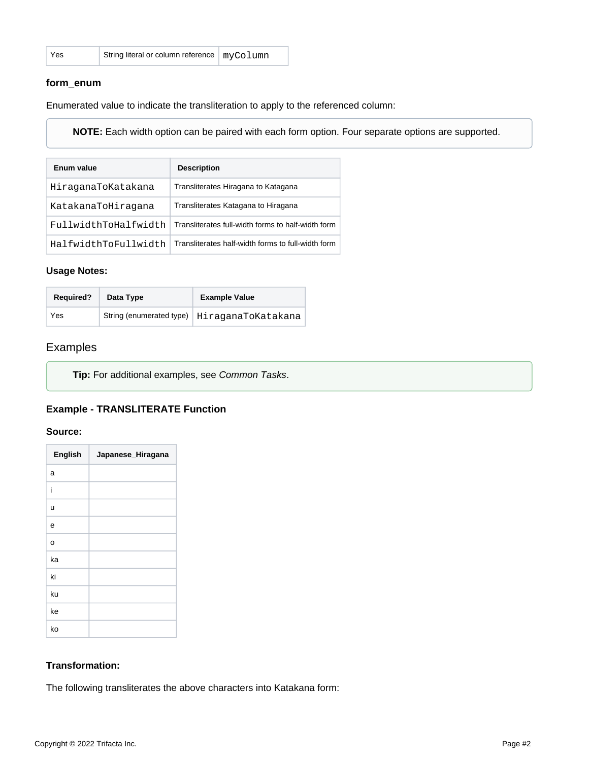| Yes | String literal or column reference   myColumn |  |
|-----|-----------------------------------------------|--|
|     |                                               |  |

#### <span id="page-1-0"></span>**form\_enum**

Enumerated value to indicate the transliteration to apply to the referenced column:

**NOTE:** Each width option can be paired with each form option. Four separate options are supported.

| Enum value           | <b>Description</b>                                 |
|----------------------|----------------------------------------------------|
| HiraganaToKatakana   | Transliterates Hiragana to Katagana                |
| KatakanaToHiraqana   | Transliterates Katagana to Hiragana                |
| FullwidthToHalfwidth | Transliterates full-width forms to half-width form |
| HalfwidthToFullwidth | Transliterates half-width forms to full-width form |

#### **Usage Notes:**

| <b>Required?</b> | Data Type                | <b>Example Value</b> |
|------------------|--------------------------|----------------------|
| Yes              | String (enumerated type) | HiraganaToKatakana   |

# <span id="page-1-1"></span>Examples

**Tip:** For additional examples, see [Common Tasks](https://docs.trifacta.com/display/AWS/Common+Tasks).

# <span id="page-1-2"></span>**Example - TRANSLITERATE Function**

#### **Source:**

| English | Japanese_Hiragana |
|---------|-------------------|
| a       |                   |
| i       |                   |
| u       |                   |
| e       |                   |
| O       |                   |
| ka      |                   |
| ki      |                   |
| ku      |                   |
| ke      |                   |
| ko      |                   |

# **Transformation:**

The following transliterates the above characters into Katakana form: